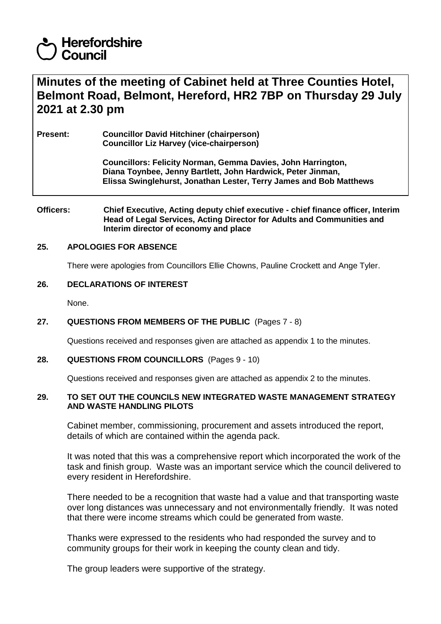# **Herefordshire** Council

# **Minutes of the meeting of Cabinet held at Three Counties Hotel, Belmont Road, Belmont, Hereford, HR2 7BP on Thursday 29 July 2021 at 2.30 pm**

**Present: Councillor David Hitchiner (chairperson) Councillor Liz Harvey (vice-chairperson)**

> **Councillors: Felicity Norman, Gemma Davies, John Harrington, Diana Toynbee, Jenny Bartlett, John Hardwick, Peter Jinman, Elissa Swinglehurst, Jonathan Lester, Terry James and Bob Matthews**

**Officers: Chief Executive, Acting deputy chief executive - chief finance officer, Interim Head of Legal Services, Acting Director for Adults and Communities and Interim director of economy and place**

#### **25. APOLOGIES FOR ABSENCE**

There were apologies from Councillors Ellie Chowns, Pauline Crockett and Ange Tyler.

#### **26. DECLARATIONS OF INTEREST**

None.

#### **27. QUESTIONS FROM MEMBERS OF THE PUBLIC** (Pages 7 - 8)

Questions received and responses given are attached as appendix 1 to the minutes.

#### **28. QUESTIONS FROM COUNCILLORS** (Pages 9 - 10)

Questions received and responses given are attached as appendix 2 to the minutes.

#### **29. TO SET OUT THE COUNCILS NEW INTEGRATED WASTE MANAGEMENT STRATEGY AND WASTE HANDLING PILOTS**

Cabinet member, commissioning, procurement and assets introduced the report, details of which are contained within the agenda pack.

It was noted that this was a comprehensive report which incorporated the work of the task and finish group. Waste was an important service which the council delivered to every resident in Herefordshire.

There needed to be a recognition that waste had a value and that transporting waste over long distances was unnecessary and not environmentally friendly. It was noted that there were income streams which could be generated from waste.

Thanks were expressed to the residents who had responded the survey and to community groups for their work in keeping the county clean and tidy.

The group leaders were supportive of the strategy.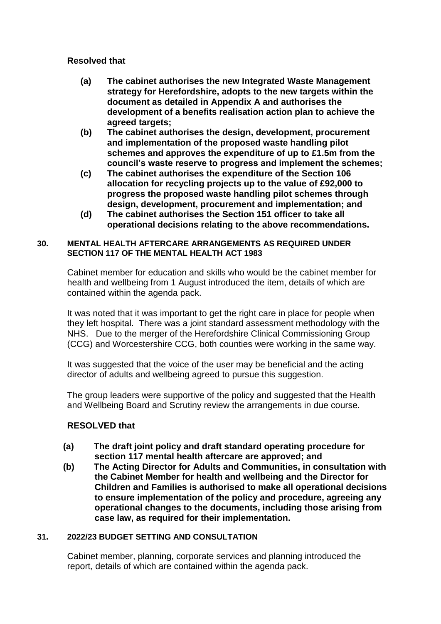### **Resolved that**

- **(a) The cabinet authorises the new Integrated Waste Management strategy for Herefordshire, adopts to the new targets within the document as detailed in Appendix A and authorises the development of a benefits realisation action plan to achieve the agreed targets;**
- **(b) The cabinet authorises the design, development, procurement and implementation of the proposed waste handling pilot schemes and approves the expenditure of up to £1.5m from the council's waste reserve to progress and implement the schemes;**
- **(c) The cabinet authorises the expenditure of the Section 106 allocation for recycling projects up to the value of £92,000 to progress the proposed waste handling pilot schemes through design, development, procurement and implementation; and**
- **(d) The cabinet authorises the Section 151 officer to take all operational decisions relating to the above recommendations.**

#### **30. MENTAL HEALTH AFTERCARE ARRANGEMENTS AS REQUIRED UNDER SECTION 117 OF THE MENTAL HEALTH ACT 1983**

Cabinet member for education and skills who would be the cabinet member for health and wellbeing from 1 August introduced the item, details of which are contained within the agenda pack.

It was noted that it was important to get the right care in place for people when they left hospital. There was a joint standard assessment methodology with the NHS. Due to the merger of the Herefordshire Clinical Commissioning Group (CCG) and Worcestershire CCG, both counties were working in the same way.

It was suggested that the voice of the user may be beneficial and the acting director of adults and wellbeing agreed to pursue this suggestion.

The group leaders were supportive of the policy and suggested that the Health and Wellbeing Board and Scrutiny review the arrangements in due course.

## **RESOLVED that**

- **(a) The draft joint policy and draft standard operating procedure for section 117 mental health aftercare are approved; and**
- **(b) The Acting Director for Adults and Communities, in consultation with the Cabinet Member for health and wellbeing and the Director for Children and Families is authorised to make all operational decisions to ensure implementation of the policy and procedure, agreeing any operational changes to the documents, including those arising from case law, as required for their implementation.**

### **31. 2022/23 BUDGET SETTING AND CONSULTATION**

Cabinet member, planning, corporate services and planning introduced the report, details of which are contained within the agenda pack.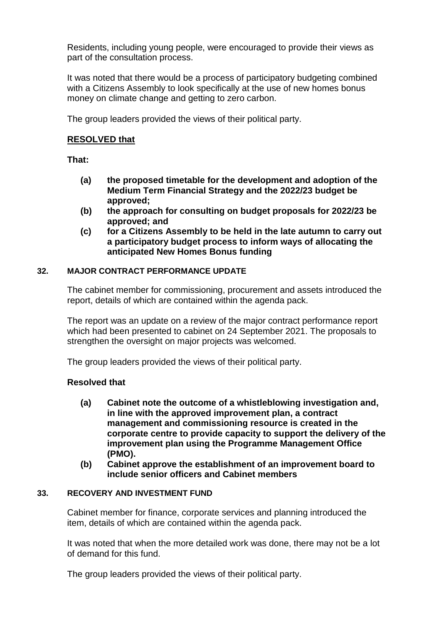Residents, including young people, were encouraged to provide their views as part of the consultation process.

It was noted that there would be a process of participatory budgeting combined with a Citizens Assembly to look specifically at the use of new homes bonus money on climate change and getting to zero carbon.

The group leaders provided the views of their political party.

### **RESOLVED that**

**That:** 

- **(a) the proposed timetable for the development and adoption of the Medium Term Financial Strategy and the 2022/23 budget be approved;**
- **(b) the approach for consulting on budget proposals for 2022/23 be approved; and**
- **(c) for a Citizens Assembly to be held in the late autumn to carry out a participatory budget process to inform ways of allocating the anticipated New Homes Bonus funding**

### **32. MAJOR CONTRACT PERFORMANCE UPDATE**

The cabinet member for commissioning, procurement and assets introduced the report, details of which are contained within the agenda pack.

The report was an update on a review of the major contract performance report which had been presented to cabinet on 24 September 2021. The proposals to strengthen the oversight on major projects was welcomed.

The group leaders provided the views of their political party.

### **Resolved that**

- **(a) Cabinet note the outcome of a whistleblowing investigation and, in line with the approved improvement plan, a contract management and commissioning resource is created in the corporate centre to provide capacity to support the delivery of the improvement plan using the Programme Management Office (PMO).**
- **(b) Cabinet approve the establishment of an improvement board to include senior officers and Cabinet members**

### **33. RECOVERY AND INVESTMENT FUND**

Cabinet member for finance, corporate services and planning introduced the item, details of which are contained within the agenda pack.

It was noted that when the more detailed work was done, there may not be a lot of demand for this fund.

The group leaders provided the views of their political party.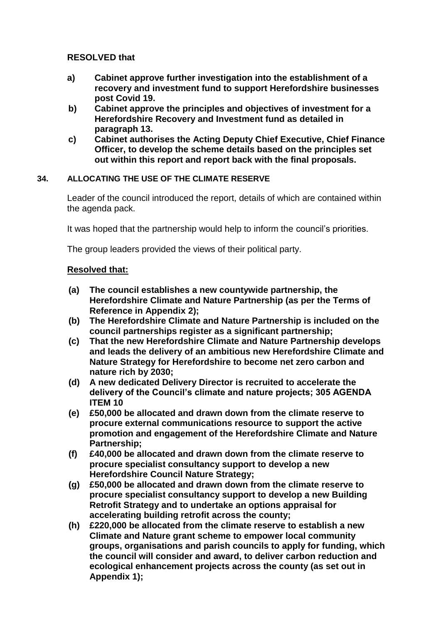## **RESOLVED that**

- **a) Cabinet approve further investigation into the establishment of a recovery and investment fund to support Herefordshire businesses post Covid 19.**
- **b) Cabinet approve the principles and objectives of investment for a Herefordshire Recovery and Investment fund as detailed in paragraph 13.**
- **c) Cabinet authorises the Acting Deputy Chief Executive, Chief Finance Officer, to develop the scheme details based on the principles set out within this report and report back with the final proposals.**

### **34. ALLOCATING THE USE OF THE CLIMATE RESERVE**

Leader of the council introduced the report, details of which are contained within the agenda pack.

It was hoped that the partnership would help to inform the council's priorities.

The group leaders provided the views of their political party.

### **Resolved that:**

- **(a) The council establishes a new countywide partnership, the Herefordshire Climate and Nature Partnership (as per the Terms of Reference in Appendix 2);**
- **(b) The Herefordshire Climate and Nature Partnership is included on the council partnerships register as a significant partnership;**
- **(c) That the new Herefordshire Climate and Nature Partnership develops and leads the delivery of an ambitious new Herefordshire Climate and Nature Strategy for Herefordshire to become net zero carbon and nature rich by 2030;**
- **(d) A new dedicated Delivery Director is recruited to accelerate the delivery of the Council's climate and nature projects; 305 AGENDA ITEM 10**
- **(e) £50,000 be allocated and drawn down from the climate reserve to procure external communications resource to support the active promotion and engagement of the Herefordshire Climate and Nature Partnership;**
- **(f) £40,000 be allocated and drawn down from the climate reserve to procure specialist consultancy support to develop a new Herefordshire Council Nature Strategy;**
- **(g) £50,000 be allocated and drawn down from the climate reserve to procure specialist consultancy support to develop a new Building Retrofit Strategy and to undertake an options appraisal for accelerating building retrofit across the county;**
- **(h) £220,000 be allocated from the climate reserve to establish a new Climate and Nature grant scheme to empower local community groups, organisations and parish councils to apply for funding, which the council will consider and award, to deliver carbon reduction and ecological enhancement projects across the county (as set out in Appendix 1);**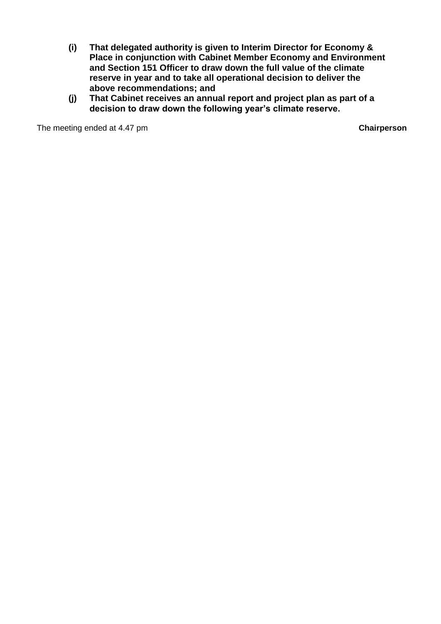- **(i) That delegated authority is given to Interim Director for Economy & Place in conjunction with Cabinet Member Economy and Environment and Section 151 Officer to draw down the full value of the climate reserve in year and to take all operational decision to deliver the above recommendations; and**
- **(j) That Cabinet receives an annual report and project plan as part of a decision to draw down the following year's climate reserve.**

The meeting ended at 4.47 pm **Chairperson**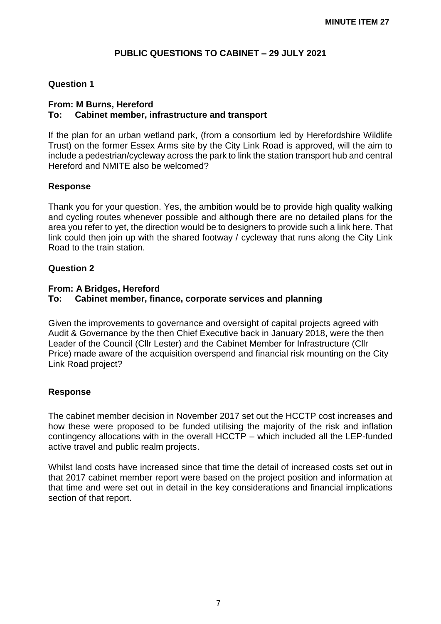## **PUBLIC QUESTIONS TO CABINET – 29 JULY 2021**

### **Question 1**

### **From: M Burns, Hereford To: Cabinet member, infrastructure and transport**

If the plan for an urban wetland park, (from a consortium led by Herefordshire Wildlife Trust) on the former Essex Arms site by the City Link Road is approved, will the aim to include a pedestrian/cycleway across the park to link the station transport hub and central Hereford and NMITE also be welcomed?

#### **Response**

Thank you for your question. Yes, the ambition would be to provide high quality walking and cycling routes whenever possible and although there are no detailed plans for the area you refer to yet, the direction would be to designers to provide such a link here. That link could then join up with the shared footway / cycleway that runs along the City Link Road to the train station.

### **Question 2**

### **From: A Bridges, Hereford**

### **To: Cabinet member, finance, corporate services and planning**

Given the improvements to governance and oversight of capital projects agreed with Audit & Governance by the then Chief Executive back in January 2018, were the then Leader of the Council (Cllr Lester) and the Cabinet Member for Infrastructure (Cllr Price) made aware of the acquisition overspend and financial risk mounting on the City Link Road project?

#### **Response**

The cabinet member decision in November 2017 set out the HCCTP cost increases and how these were proposed to be funded utilising the majority of the risk and inflation contingency allocations with in the overall HCCTP – which included all the LEP-funded active travel and public realm projects.

Whilst land costs have increased since that time the detail of increased costs set out in that 2017 cabinet member report were based on the project position and information at that time and were set out in detail in the key considerations and financial implications section of that report.